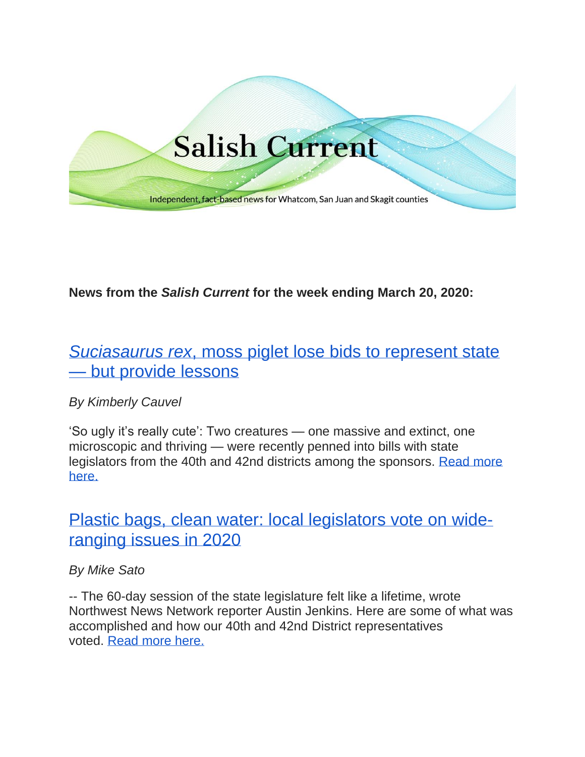

# **News from the** *Salish Current* **for the week ending March 20, 2020:**

# *Suciasaurus rex*[, moss piglet lose bids to represent state](https://salish-current.org/2020/03/18/suciasaurus-rex-moss-piglet-lose-bids-to-represent-state-but-teach-lessons-along-the-way/)  — [but provide lessons](https://salish-current.org/2020/03/18/suciasaurus-rex-moss-piglet-lose-bids-to-represent-state-but-teach-lessons-along-the-way/)

# *By Kimberly Cauvel*

'So ugly it's really cute': Two creatures — one massive and extinct, one microscopic and thriving — were recently penned into bills with state legislators from the 40th and 42nd districts among the sponsors. [Read more](https://salish-current.org/2020/03/18/suciasaurus-rex-moss-piglet-lose-bids-to-represent-state-but-teach-lessons-along-the-way/)  [here.](https://salish-current.org/2020/03/18/suciasaurus-rex-moss-piglet-lose-bids-to-represent-state-but-teach-lessons-along-the-way/)

# Plastic bags, clean water: local legislators vote on [wide](https://salish-current.org/2020/03/18/plastic-bags-clean-water-local-legislators-vote-on-wide-ranging-issues-in-2020/)[ranging issues in 2020](https://salish-current.org/2020/03/18/plastic-bags-clean-water-local-legislators-vote-on-wide-ranging-issues-in-2020/)

# *By Mike Sato*

-- The 60-day session of the state legislature felt like a lifetime, wrote Northwest News Network reporter Austin Jenkins. Here are some of what was accomplished and how our 40th and 42nd District representatives voted. Read [more here.](https://salish-current.org/2020/03/18/plastic-bags-clean-water-local-legislators-vote-on-wide-ranging-issues-in-2020/)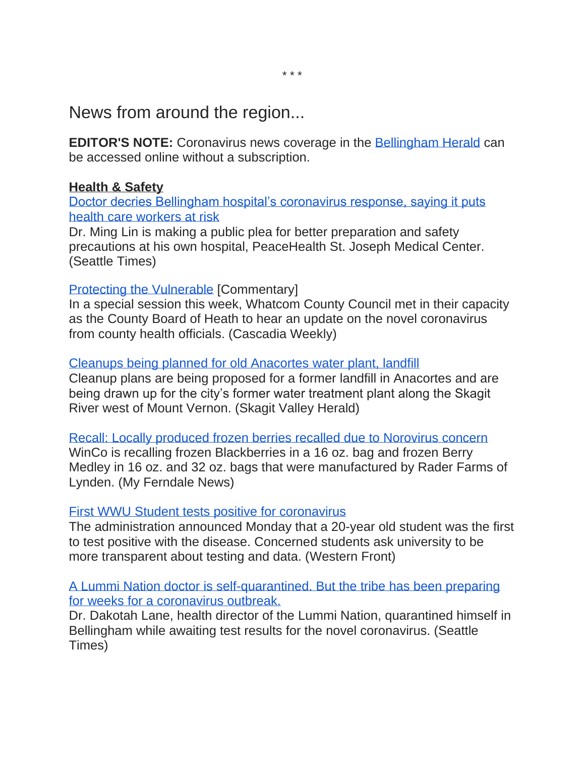News from around the region...

**EDITOR'S NOTE:** Coronavirus news coverage in the [Bellingham Herald](https://www.bellinghamherald.com/) can be accessed online without a subscription.

# **Health & Safety**

[Doctor decries Bellingham hospital's coronavirus response, saying it puts](https://www.seattletimes.com/seattle-news/health/doctor-decries-bellingham-hospitals-coronavirus-response-saying-it-puts-health-care-workers-at-risk/)  health [care workers at risk](https://www.seattletimes.com/seattle-news/health/doctor-decries-bellingham-hospitals-coronavirus-response-saying-it-puts-health-care-workers-at-risk/)

Dr. Ming Lin is making a public plea for better preparation and safety precautions at his own hospital, PeaceHealth St. Joseph Medical Center. (Seattle Times)

# [Protecting the Vulnerable](http://www.cascadiaweekly.com/cw/currents/protecting_the_vulnerable) [Commentary]

In a special session this week, Whatcom County Council met in their capacity as the County Board of Heath to hear an update on the novel coronavirus from county health officials. (Cascadia Weekly)

# [Cleanups being planned for old Anacortes water plant, landfill](https://www.goskagit.com/news/local_news/cleanups-being-planned-for-old-anacortes-water-plant-landfill/article_93d7b88c-e6bb-528e-a355-81c2af45e150.html?utm_medium=social&utm_source=email&utm_campaign=user-share)

Cleanup plans are being proposed for a former landfill in Anacortes and are being drawn up for the city's former water treatment plant along the Skagit River west of Mount Vernon. (Skagit Valley Herald)

#### [Recall: Locally produced frozen berries recalled due to Norovirus concern](https://myferndalenews.com/recall-locally-produced-frozen-berries-recalled-due-to-norovirus-concern_100724/)

WinCo is recalling frozen Blackberries in a 16 oz. bag and frozen Berry Medley in 16 oz. and 32 oz. bags that were manufactured by Rader Farms of Lynden. (My Ferndale News)

# [First WWU Student tests positive for coronavirus](https://www.westernfrontonline.com/2020/03/16/first-wwu-student-tests-positive/)

The administration announced Monday that a 20-year old student was the first to test positive with the disease. Concerned students ask university to be more transparent about testing and data. (Western Front)

[A Lummi Nation doctor is self-quarantined. But the tribe has been preparing](https://www.seattletimes.com/seattle-news/a-lummi-nation-doctor-is-self-quarantined-but-the-tribe-has-been-preparing-for-weeks-for-a-coronavirus-outbreak/?utm_source=referral&utm_medium=mobile-app&utm_campaign=ios)  [for weeks for a coronavirus outbreak.](https://www.seattletimes.com/seattle-news/a-lummi-nation-doctor-is-self-quarantined-but-the-tribe-has-been-preparing-for-weeks-for-a-coronavirus-outbreak/?utm_source=referral&utm_medium=mobile-app&utm_campaign=ios)

Dr. Dakotah Lane, health director of the Lummi Nation, quarantined himself in Bellingham while awaiting test results for the novel coronavirus. (Seattle Times)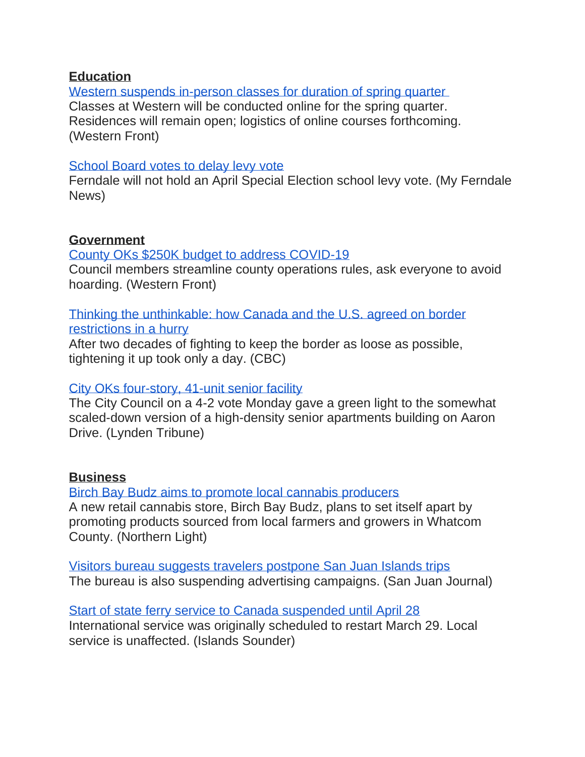### **Education**

Western suspends in-person classes for duration of spring quarter Classes at Western will be conducted online for the spring quarter. Residences will remain open; logistics of online courses forthcoming. (Western Front)

#### [School Board votes to delay levy vote](https://myferndalenews.com/school-board-votes-to-delay-levy-vote_100765/)

Ferndale will not hold an April Special Election school levy vote. (My Ferndale News)

# **Government**

[County OKs \\$250K budget to address COVID-19](https://www.westernfrontonline.com/2020/03/16/county-oks-250k-budget-to-address-covid/)

Council members streamline county operations rules, ask everyone to avoid hoarding. (Western Front)

[Thinking the unthinkable: how Canada and the U.S. agreed on border](https://www.cbc.ca/news/politics/trump-trudeau-covid-19-coronavirus-pandemic-border-1.5502192)  [restrictions in a hurry](https://www.cbc.ca/news/politics/trump-trudeau-covid-19-coronavirus-pandemic-border-1.5502192)

After two decades of fighting to keep the border as loose as possible, tightening it up took only a day. (CBC)

# [City OKs four-story, 41-unit senior facility](https://www.lyndentribune.com/news/city-oks-four-story--unit-senior-facility/article_c9267514-6972-11ea-8596-1fe0557f0a6f.html)

The City Council on a 4-2 vote Monday gave a green light to the somewhat scaled-down version of a high-density senior apartments building on Aaron Drive. (Lynden Tribune)

# **Business**

[Birch Bay Budz aims to promote local cannabis producers](https://www.thenorthernlight.com/stories/birch-bay-budz-aims-to-promote-local-cannabis-producers,9860?) A new retail cannabis store, Birch Bay Budz, plans to set itself apart by promoting products sourced from local farmers and growers in Whatcom County. (Northern Light)

[Visitors bureau suggests travelers postpone San Juan Islands trips](https://www.sanjuanjournal.com/news/visitors-bureau-suggests-travelers-postpone-san-juan-islands-trips/) The bureau is also suspending advertising campaigns. (San Juan Journal)

[Start of state ferry service to Canada suspended until April 28](https://www.islandssounder.com/news/start-of-state-ferry-service-to-canada-suspended-until-april-28/) International service was originally scheduled to restart March 29. Local service is unaffected. (Islands Sounder)